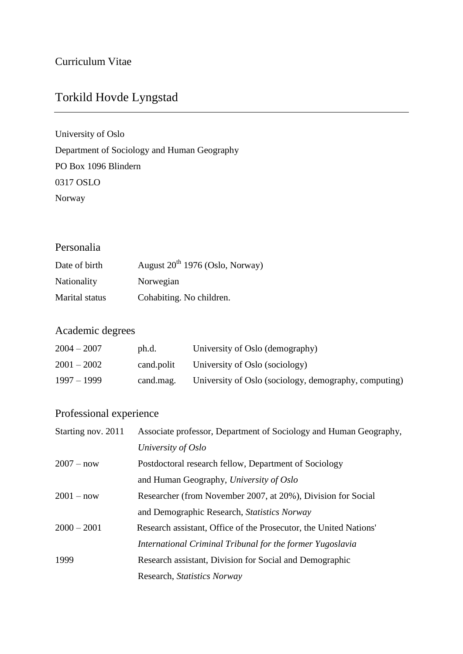# Torkild Hovde Lyngstad

University of Oslo Department of Sociology and Human Geography PO Box 1096 Blindern 0317 OSLO Norway

### Personalia

| Date of birth      | August $20^{th}$ 1976 (Oslo, Norway) |
|--------------------|--------------------------------------|
| <b>Nationality</b> | Norwegian                            |
| Marital status     | Cohabiting. No children.             |

## Academic degrees

| $2004 - 2007$ | ph.d.      | University of Oslo (demography)                       |
|---------------|------------|-------------------------------------------------------|
| $2001 - 2002$ | cand.polit | University of Oslo (sociology)                        |
| $1997 - 1999$ | cand.mag.  | University of Oslo (sociology, demography, computing) |

## Professional experience

| Starting nov. 2011 | Associate professor, Department of Sociology and Human Geography, |
|--------------------|-------------------------------------------------------------------|
|                    | University of Oslo                                                |
| $2007 - now$       | Postdoctoral research fellow, Department of Sociology             |
|                    | and Human Geography, University of Oslo                           |
| $2001 - now$       | Researcher (from November 2007, at 20%), Division for Social      |
|                    | and Demographic Research, <i>Statistics Norway</i>                |
| $2000 - 2001$      | Research assistant, Office of the Prosecutor, the United Nations' |
|                    | International Criminal Tribunal for the former Yugoslavia         |
| 1999               | Research assistant, Division for Social and Demographic           |
|                    | Research, Statistics Norway                                       |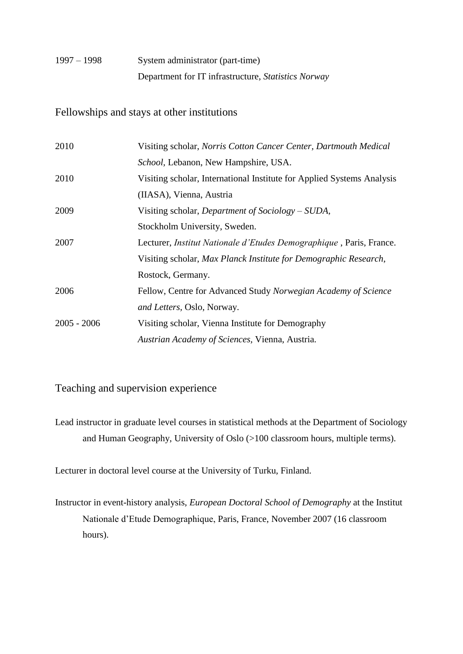## 1997 – 1998 System administrator (part-time) Department for IT infrastructure, *Statistics Norway*

#### Fellowships and stays at other institutions

| 2010          | Visiting scholar, Norris Cotton Cancer Center, Dartmouth Medical            |
|---------------|-----------------------------------------------------------------------------|
|               | School, Lebanon, New Hampshire, USA.                                        |
| 2010          | Visiting scholar, International Institute for Applied Systems Analysis      |
|               | (IIASA), Vienna, Austria                                                    |
| 2009          | Visiting scholar, <i>Department of Sociology – SUDA</i> ,                   |
|               | Stockholm University, Sweden.                                               |
| 2007          | Lecturer, <i>Institut Nationale d'Etudes Demographique</i> , Paris, France. |
|               | Visiting scholar, Max Planck Institute for Demographic Research,            |
|               | Rostock, Germany.                                                           |
| 2006          | Fellow, Centre for Advanced Study Norwegian Academy of Science              |
|               | and Letters, Oslo, Norway.                                                  |
| $2005 - 2006$ | Visiting scholar, Vienna Institute for Demography                           |
|               | Austrian Academy of Sciences, Vienna, Austria.                              |

### Teaching and supervision experience

Lead instructor in graduate level courses in statistical methods at the Department of Sociology and Human Geography, University of Oslo (>100 classroom hours, multiple terms).

Lecturer in doctoral level course at the University of Turku, Finland.

Instructor in event-history analysis, *European Doctoral School of Demography* at the Institut Nationale d'Etude Demographique, Paris, France, November 2007 (16 classroom hours).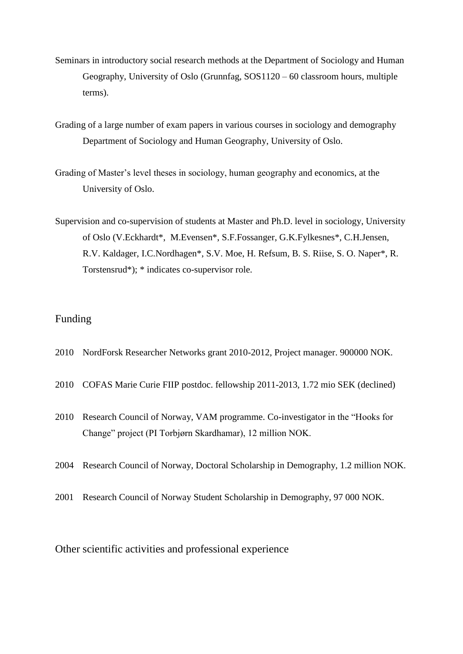- Seminars in introductory social research methods at the Department of Sociology and Human Geography, University of Oslo (Grunnfag, SOS1120 – 60 classroom hours, multiple terms).
- Grading of a large number of exam papers in various courses in sociology and demography Department of Sociology and Human Geography, University of Oslo.
- Grading of Master's level theses in sociology, human geography and economics, at the University of Oslo.
- Supervision and co-supervision of students at Master and Ph.D. level in sociology, University of Oslo (V.Eckhardt\*, M.Evensen\*, S.F.Fossanger, G.K.Fylkesnes\*, C.H.Jensen, R.V. Kaldager, I.C.Nordhagen\*, S.V. Moe, H. Refsum, B. S. Riise, S. O. Naper\*, R. Torstensrud\*); \* indicates co-supervisor role.

### Funding

- 2010 NordForsk Researcher Networks grant 2010-2012, Project manager. 900000 NOK.
- 2010 COFAS Marie Curie FIIP postdoc. fellowship 2011-2013, 1.72 mio SEK (declined)
- 2010 Research Council of Norway, VAM programme. Co-investigator in the "Hooks for Change" project (PI Torbjørn Skardhamar), 12 million NOK.
- 2004 Research Council of Norway, Doctoral Scholarship in Demography, 1.2 million NOK.
- 2001 Research Council of Norway Student Scholarship in Demography, 97 000 NOK.

Other scientific activities and professional experience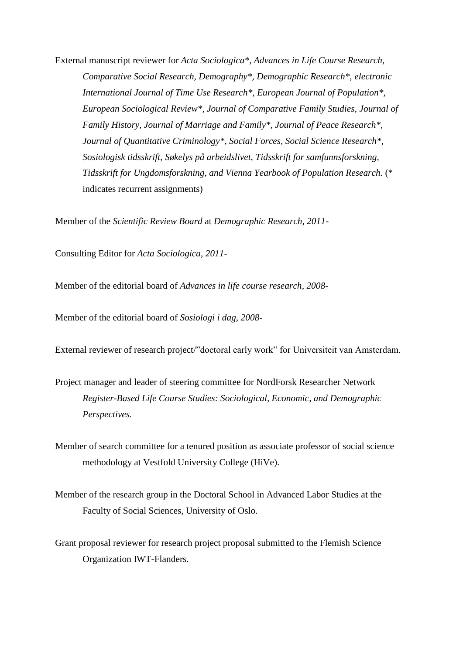External manuscript reviewer for *Acta Sociologica\**, *Advances in Life Course Research, Comparative Social Research, Demography\*, Demographic Research\*, electronic International Journal of Time Use Research\*, European Journal of Population\*, European Sociological Review\*, Journal of Comparative Family Studies, Journal of Family History, Journal of Marriage and Family\*, Journal of Peace Research\*, Journal of Quantitative Criminology\*, Social Forces, Social Science Research\*, Sosiologisk tidsskrift, Søkelys på arbeidslivet, Tidsskrift for samfunnsforskning, Tidsskrift for Ungdomsforskning, and Vienna Yearbook of Population Research.* (\* indicates recurrent assignments)

Member of the *Scientific Review Board* at *Demographic Research, 2011-*

Consulting Editor for *Acta Sociologica, 2011-*

Member of the editorial board of *Advances in life course research, 2008-*

Member of the editorial board of *Sosiologi i dag, 2008-*

External reviewer of research project/"doctoral early work" for Universiteit van Amsterdam.

Project manager and leader of steering committee for NordForsk Researcher Network *Register-Based Life Course Studies: Sociological, Economic, and Demographic Perspectives.* 

Member of search committee for a tenured position as associate professor of social science methodology at Vestfold University College (HiVe).

Member of the research group in the Doctoral School in Advanced Labor Studies at the Faculty of Social Sciences, University of Oslo.

Grant proposal reviewer for research project proposal submitted to the Flemish Science Organization IWT-Flanders.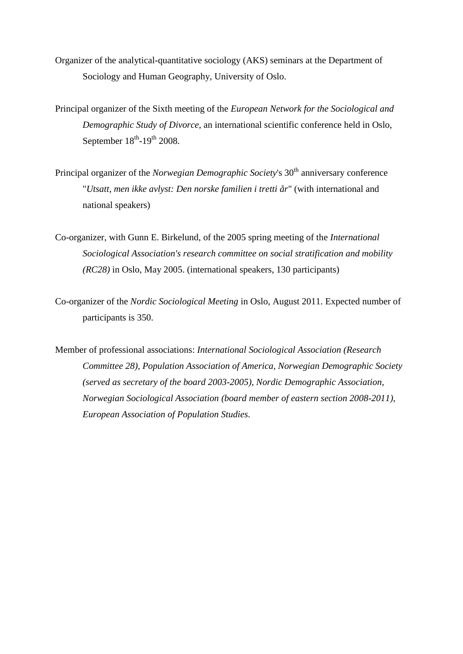- Organizer of the analytical-quantitative sociology (AKS) seminars at the Department of Sociology and Human Geography, University of Oslo.
- Principal organizer of the Sixth meeting of the *European Network for the Sociological and Demographic Study of Divorce*, an international scientific conference held in Oslo, September  $18<sup>th</sup>$ -19<sup>th</sup> 2008.
- Principal organizer of the *Norwegian Demographic Society*'s 30<sup>th</sup> anniversary conference "*Utsatt, men ikke avlyst: Den norske familien i tretti år*" (with international and national speakers)
- Co-organizer, with Gunn E. Birkelund, of the 2005 spring meeting of the *International Sociological Association's research committee on social stratification and mobility (RC28)* in Oslo, May 2005. (international speakers, 130 participants)
- Co-organizer of the *Nordic Sociological Meeting* in Oslo, August 2011. Expected number of participants is 350.

Member of professional associations: *International Sociological Association (Research Committee 28), Population Association of America, Norwegian Demographic Society (served as secretary of the board 2003-2005), Nordic Demographic Association, Norwegian Sociological Association (board member of eastern section 2008-2011), European Association of Population Studies.*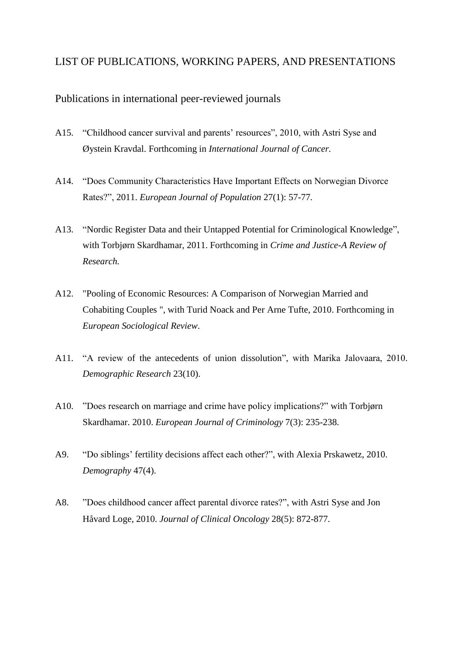#### LIST OF PUBLICATIONS, WORKING PAPERS, AND PRESENTATIONS

#### Publications in international peer-reviewed journals

- A15. "Childhood cancer survival and parents' resources", 2010, with Astri Syse and Øystein Kravdal. Forthcoming in *International Journal of Cancer.*
- A14. "Does Community Characteristics Have Important Effects on Norwegian Divorce Rates?", 2011. *European Journal of Population* 27(1): 57-77*.*
- A13. "Nordic Register Data and their Untapped Potential for Criminological Knowledge", with Torbjørn Skardhamar, 2011. Forthcoming in *Crime and Justice-A Review of Research.*
- A12. "Pooling of Economic Resources: A Comparison of Norwegian Married and Cohabiting Couples ", with Turid Noack and Per Arne Tufte, 2010. Forthcoming in *European Sociological Review*.
- A11. "A review of the antecedents of union dissolution", with Marika Jalovaara, 2010. *Demographic Research* 23(10).
- A10. "Does research on marriage and crime have policy implications?" with Torbjørn Skardhamar. 2010. *European Journal of Criminology* 7(3): 235-238.
- A9. "Do siblings' fertility decisions affect each other?", with Alexia Prskawetz, 2010. *Demography* 47(4).
- A8. "Does childhood cancer affect parental divorce rates?", with Astri Syse and Jon Håvard Loge, 2010. *Journal of Clinical Oncology* 28(5): 872-877.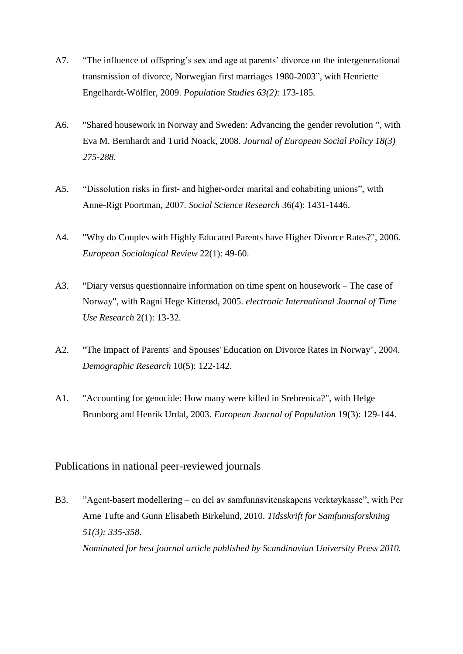- A7. "The influence of offspring's sex and age at parents' divorce on the intergenerational transmission of divorce, Norwegian first marriages 1980-2003", with Henriette Engelhardt-Wölfler, 2009. *Population Studies 63(2)*: 173-185*.*
- A6. "Shared housework in Norway and Sweden: Advancing the gender revolution ", with Eva M. Bernhardt and Turid Noack, 2008. *Journal of European Social Policy 18(3) 275-288.*
- A5. "Dissolution risks in first- and higher-order marital and cohabiting unions", with Anne-Rigt Poortman, 2007. *Social Science Research* 36(4): 1431-1446.
- A4. "Why do Couples with Highly Educated Parents have Higher Divorce Rates?", 2006. *European Sociological Review* 22(1): 49-60.
- A3. "Diary versus questionnaire information on time spent on housework The case of Norway", with Ragni Hege Kitterød, 2005. *electronic International Journal of Time Use Research* 2(1): 13-32.
- A2. "The Impact of Parents' and Spouses' Education on Divorce Rates in Norway", 2004. *Demographic Research* 10(5): 122-142.
- A1. "Accounting for genocide: How many were killed in Srebrenica?", with Helge Brunborg and Henrik Urdal, 2003. *European Journal of Population* 19(3): 129-144.

#### Publications in national peer-reviewed journals

B3. "Agent-basert modellering – en del av samfunnsvitenskapens verktøykasse", with Per Arne Tufte and Gunn Elisabeth Birkelund, 2010. *Tidsskrift for Samfunnsforskning 51(3): 335-358*. *Nominated for best journal article published by Scandinavian University Press 2010.*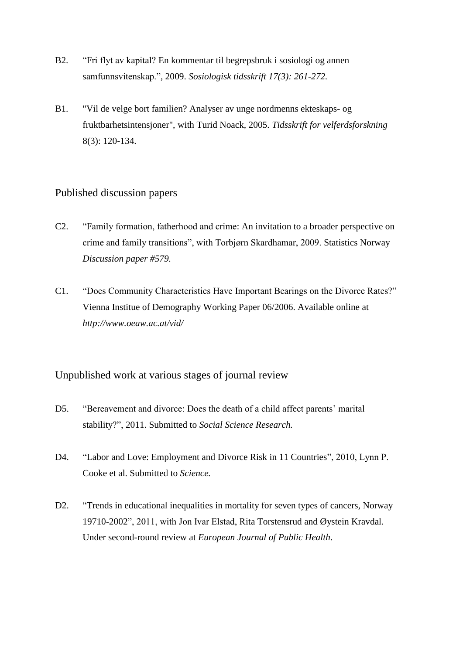- B2. "Fri flyt av kapital? En kommentar til begrepsbruk i sosiologi og annen samfunnsvitenskap.", 2009. *Sosiologisk tidsskrift 17(3): 261-272.*
- B1. "Vil de velge bort familien? Analyser av unge nordmenns ekteskaps- og fruktbarhetsintensjoner", with Turid Noack, 2005. *Tidsskrift for velferdsforskning* 8(3): 120-134.

#### Published discussion papers

- C2. "Family formation, fatherhood and crime: An invitation to a broader perspective on crime and family transitions", with Torbjørn Skardhamar, 2009. Statistics Norway *Discussion paper #579.*
- C1. "Does Community Characteristics Have Important Bearings on the Divorce Rates?" Vienna Institue of Demography Working Paper 06/2006. Available online at *http://www.oeaw.ac.at/vid/*

#### Unpublished work at various stages of journal review

- D5. "Bereavement and divorce: Does the death of a child affect parents' marital stability?", 2011. Submitted to *Social Science Research.*
- D4. "Labor and Love: Employment and Divorce Risk in 11 Countries", 2010, Lynn P. Cooke et al. Submitted to *Science.*
- D2. "Trends in educational inequalities in mortality for seven types of cancers, Norway 19710-2002", 2011, with Jon Ivar Elstad, Rita Torstensrud and Øystein Kravdal. Under second-round review at *European Journal of Public Health*.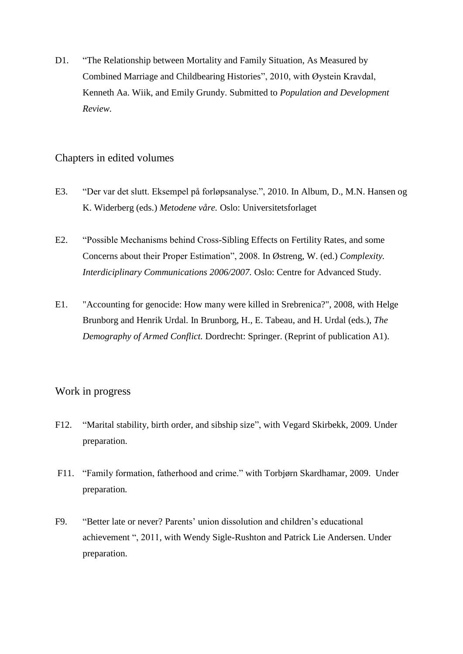D1. "The Relationship between Mortality and Family Situation, As Measured by Combined Marriage and Childbearing Histories", 2010, with Øystein Kravdal, Kenneth Aa. Wiik, and Emily Grundy. Submitted to *Population and Development Review.*

#### Chapters in edited volumes

- E3. "Der var det slutt. Eksempel på forløpsanalyse.", 2010. In Album, D., M.N. Hansen og K. Widerberg (eds.) *Metodene våre.* Oslo: Universitetsforlaget
- E2. "Possible Mechanisms behind Cross-Sibling Effects on Fertility Rates, and some Concerns about their Proper Estimation", 2008. In Østreng, W. (ed.) *Complexity. Interdiciplinary Communications 2006/2007.* Oslo: Centre for Advanced Study.
- E1. "Accounting for genocide: How many were killed in Srebrenica?", 2008, with Helge Brunborg and Henrik Urdal. In Brunborg, H., E. Tabeau, and H. Urdal (eds.), *The Demography of Armed Conflict.* Dordrecht: Springer. (Reprint of publication A1).

### Work in progress

- F12. ["Marital](http://paa2006.princeton.edu/submissionViewer.aspx?submissionId=60434) stability, birth order, and sibship size", with Vegard Skirbekk, 2009. Under preparation.
- F11. "Family formation, fatherhood and crime." with Torbjørn Skardhamar, 2009. Under preparation*.*
- F9. "Better late or never? Parents' union dissolution and children's educational achievement ", 2011, with Wendy Sigle-Rushton and Patrick Lie Andersen. Under preparation.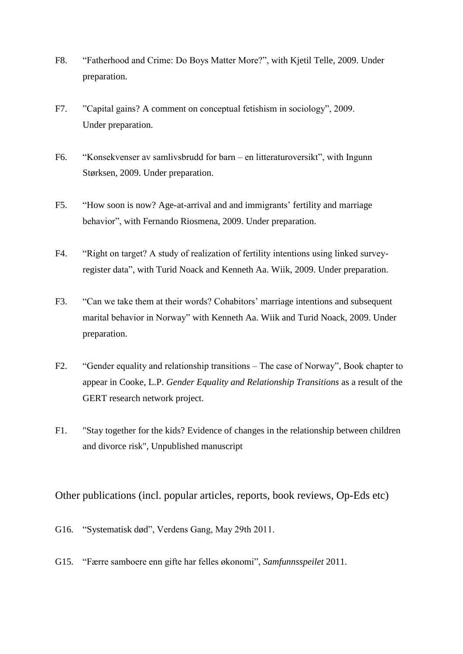- F8. "Fatherhood and Crime: Do Boys Matter More?", with Kjetil Telle, 2009. Under preparation.
- F7. "Capital gains? A comment on conceptual fetishism in sociology", 2009. Under preparation.
- F6. "Konsekvenser av samlivsbrudd for barn en litteraturoversikt", with Ingunn Størksen, 2009. Under preparation.
- F5. "How soon is now? Age-at-arrival and and immigrants' fertility and marriage behavior", with Fernando Riosmena, 2009. Under preparation.
- F4. "Right on target? A study of realization of fertility intentions using linked surveyregister data", with Turid Noack and Kenneth Aa. Wiik, 2009. Under preparation.
- F3. "Can we take them at their words? Cohabitors' marriage intentions and subsequent marital behavior in Norway" with Kenneth Aa. Wiik and Turid Noack, 2009. Under preparation.
- F2. "Gender equality and relationship transitions The case of Norway", Book chapter to appear in Cooke, L.P. *Gender Equality and Relationship Transitions* as a result of the GERT research network project.
- F1. "Stay together for the kids? Evidence of changes in the relationship between children and divorce risk", Unpublished manuscript

Other publications (incl. popular articles, reports, book reviews, Op-Eds etc)

- G16. "Systematisk død", Verdens Gang, May 29th 2011.
- G15. "Færre samboere enn gifte har felles økonomi", *Samfunnsspeilet* 2011.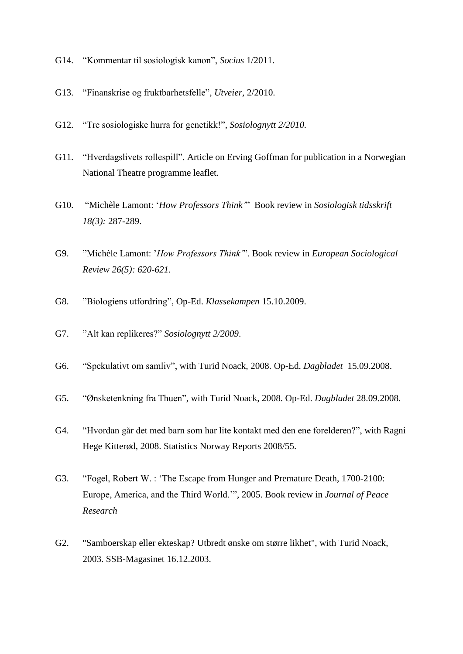- G14. "Kommentar til sosiologisk kanon", *Socius* 1/2011.
- G13. "Finanskrise og fruktbarhetsfelle", *Utveier,* 2/2010.
- G12. "Tre sosiologiske hurra for genetikk!", *Sosiolognytt 2/2010.*
- G11. "Hverdagslivets rollespill". Article on Erving Goffman for publication in a Norwegian National Theatre programme leaflet.
- G10. "Michèle Lamont: '*How Professors Think'*" Book review in *Sosiologisk tidsskrift 18(3):* 287-289.
- G9. "Michèle Lamont: '*How Professors Think'*". Book review in *European Sociological Review 26(5): 620-621.*
- G8. "Biologiens utfordring", Op-Ed. *Klassekampen* 15.10.2009.
- G7. "Alt kan replikeres?" *Sosiolognytt 2/2009*.
- G6. "Spekulativt om samliv", with Turid Noack, 2008. Op-Ed. *Dagbladet* 15.09.2008.
- G5. "Ønsketenkning fra Thuen", with Turid Noack, 2008. Op-Ed. *Dagbladet* 28.09.2008.
- G4. "Hvordan går det med barn som har lite kontakt med den ene forelderen?", with Ragni Hege Kitterød, 2008. Statistics Norway Reports 2008/55.
- G3. "Fogel, Robert W. : 'The Escape from Hunger and Premature Death, 1700-2100: Europe, America, and the Third World.'", 2005. Book review in *Journal of Peace Research*
- G2. "Samboerskap eller ekteskap? Utbredt ønske om større likhet", with Turid Noack, 2003. SSB-Magasinet 16.12.2003.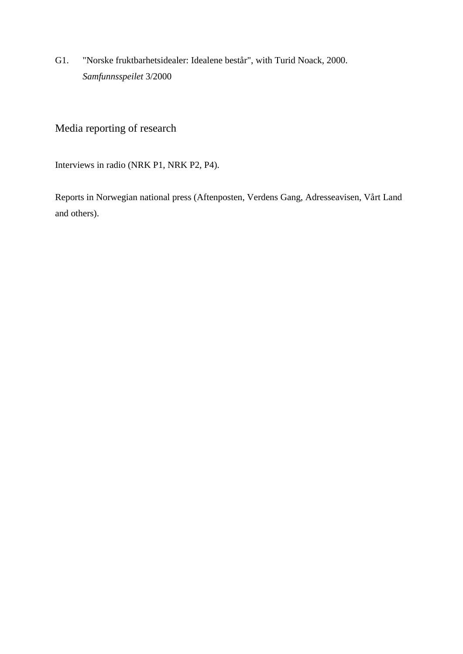G1. "Norske fruktbarhetsidealer: Idealene består", with Turid Noack, 2000. *Samfunnsspeilet* 3/2000

## Media reporting of research

Interviews in radio (NRK P1, NRK P2, P4).

Reports in Norwegian national press (Aftenposten, Verdens Gang, Adresseavisen, Vårt Land and others).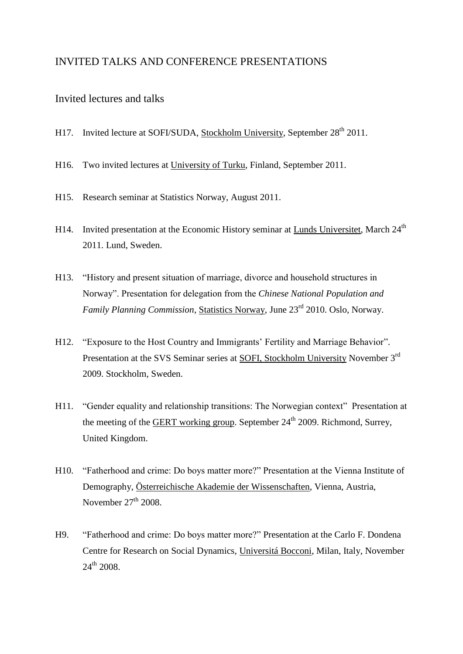#### INVITED TALKS AND CONFERENCE PRESENTATIONS

#### Invited lectures and talks

- H17. Invited lecture at SOFI/SUDA, Stockholm University, September 28<sup>th</sup> 2011.
- H16. Two invited lectures at University of Turku, Finland, September 2011.
- H15. Research seminar at Statistics Norway, August 2011.
- H14. Invited presentation at the Economic History seminar at Lunds Universitet, March  $24<sup>th</sup>$ 2011. Lund, Sweden.
- H13. "History and present situation of marriage, divorce and household structures in Norway". Presentation for delegation from the *Chinese National Population and Family Planning Commission*, Statistics Norway, June 23rd 2010. Oslo, Norway.
- H12. "Exposure to the Host Country and Immigrants' Fertility and Marriage Behavior". Presentation at the SVS Seminar series at SOFI, Stockholm University November 3rd 2009. Stockholm, Sweden.
- H11. "Gender equality and relationship transitions: The Norwegian context" Presentation at the meeting of the GERT working group. September  $24<sup>th</sup>$  2009. Richmond, Surrey, United Kingdom.
- H10. "Fatherhood and crime: Do boys matter more?" Presentation at the Vienna Institute of Demography, Österreichische Akademie der Wissenschaften, Vienna, Austria, November  $27<sup>th</sup>$  2008.
- H9. "Fatherhood and crime: Do boys matter more?" Presentation at the Carlo F. Dondena Centre for Research on Social Dynamics, Universitá Bocconi, Milan, Italy, November 24<sup>th</sup> 2008.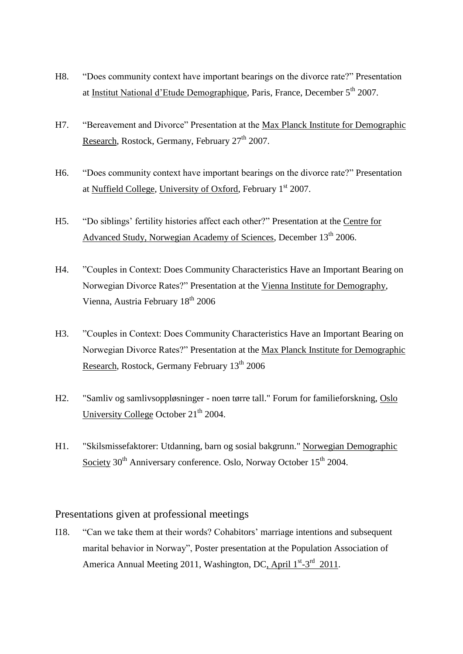- H8. "Does community context have important bearings on the divorce rate?" Presentation at Institut National d'Etude Demographique, Paris, France, December 5<sup>th</sup> 2007.
- H7. "Bereavement and Divorce" Presentation at the Max Planck Institute for Demographic Research, Rostock, Germany, February  $27<sup>th</sup> 2007$ .
- H6. "Does community context have important bearings on the divorce rate?" Presentation at Nuffield College, University of Oxford, February 1<sup>st</sup> 2007.
- H5. "Do siblings' fertility histories affect each other?" Presentation at the Centre for Advanced Study, Norwegian Academy of Sciences, December 13<sup>th</sup> 2006.
- H4. "Couples in Context: Does Community Characteristics Have an Important Bearing on Norwegian Divorce Rates?" Presentation at the Vienna Institute for Demography, Vienna, Austria February 18th 2006
- H3. "Couples in Context: Does Community Characteristics Have an Important Bearing on Norwegian Divorce Rates?" Presentation at the Max Planck Institute for Demographic Research, Rostock, Germany February 13<sup>th</sup> 2006
- H2. "Samliv og samlivsoppløsninger noen tørre tall." Forum for familieforskning, Oslo University College October  $21<sup>th</sup> 2004$ .
- H1. "Skilsmissefaktorer: Utdanning, barn og sosial bakgrunn." Norwegian Demographic Society 30<sup>th</sup> Anniversary conference. Oslo, Norway October 15<sup>th</sup> 2004.

#### Presentations given at professional meetings

I18. "Can we take them at their words? Cohabitors' marriage intentions and subsequent marital behavior in Norway", Poster presentation at the Population Association of America Annual Meeting 2011, Washington, DC, April 1<sup>st</sup>-3<sup>rd</sup> 2011.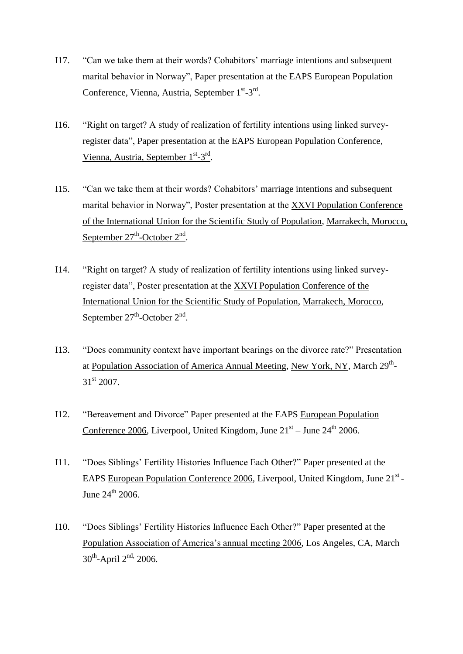- I17. "Can we take them at their words? Cohabitors' marriage intentions and subsequent marital behavior in Norway", Paper presentation at the EAPS European Population Conference, Vienna, Austria, September 1<sup>st</sup>-3<sup>rd</sup>.
- I16. "Right on target? A study of realization of fertility intentions using linked surveyregister data", Paper presentation at the EAPS European Population Conference, Vienna, Austria, September 1<sup>st</sup>-3<sup>rd</sup>.
- I15. "Can we take them at their words? Cohabitors' marriage intentions and subsequent marital behavior in Norway", Poster presentation at the XXVI Population Conference of the International Union for the Scientific Study of Population, Marrakech, Morocco, September 27<sup>th</sup>-October 2<sup>nd</sup>.
- I14. "Right on target? A study of realization of fertility intentions using linked surveyregister data", Poster presentation at the XXVI Population Conference of the International Union for the Scientific Study of Population, Marrakech, Morocco, September  $27<sup>th</sup>$ -October  $2<sup>nd</sup>$ .
- I13. "Does community context have important bearings on the divorce rate?" Presentation at Population Association of America Annual Meeting, New York, NY, March 29<sup>th</sup>- $31<sup>st</sup> 2007$ .
- I12. "Bereavement and Divorce" Paper presented at the EAPS European Population Conference 2006, Liverpool, United Kingdom, June  $21<sup>st</sup> -$  June  $24<sup>th</sup>$  2006.
- I11. "Does Siblings' Fertility Histories Influence Each Other?" Paper presented at the EAPS European Population Conference 2006, Liverpool, United Kingdom, June 21<sup>st</sup>-June  $24^{\text{th}}$  2006.
- I10. "Does Siblings' Fertility Histories Influence Each Other?" Paper presented at the Population Association of America's annual meeting 2006, Los Angeles, CA, March  $30^{\text{th}}$ -April  $2^{\text{nd}}$ , 2006.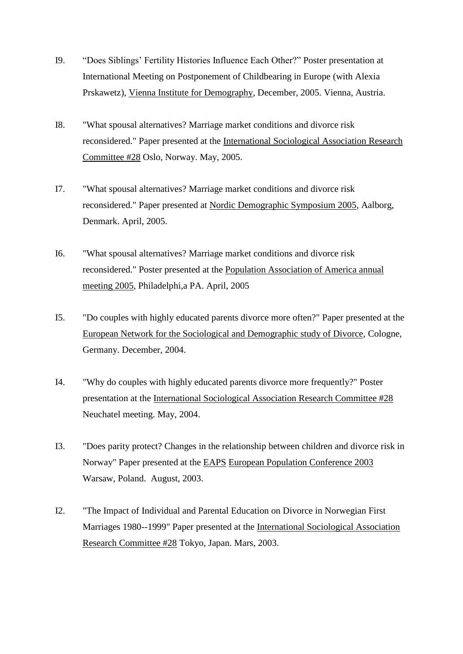- I9. "Does Siblings' Fertility Histories Influence Each Other?" Poster presentation at International Meeting on Postponement of Childbearing in Europe (with Alexia Prskawetz), Vienna Institute for Demography, December, 2005. Vienna, Austria.
- I8. "What spousal alternatives? Marriage market conditions and divorce risk reconsidered." Paper presented at the International Sociological Association Research Committee #28 Oslo, Norway. May, 2005.
- I7. "What spousal alternatives? Marriage market conditions and divorce risk reconsidered." Paper presented at Nordic Demographic Symposium 2005, Aalborg, Denmark. April, 2005.
- I6. "What spousal alternatives? Marriage market conditions and divorce risk reconsidered." Poster presented at the Population Association of America annual meeting 2005, Philadelphi,a PA. April, 2005
- I5. "Do couples with highly educated parents divorce more often?" Paper presented at the European Network for the Sociological and Demographic study of Divorce, Cologne, Germany. December, 2004.
- I4. "Why do couples with highly educated parents divorce more frequently?" Poster presentation at the International Sociological Association Research Committee #28 Neuchatel meeting. May, 2004.
- I3. "Does parity protect? Changes in the relationship between children and divorce risk in Norway" Paper presented at the EAPS European Population Conference 2003 Warsaw, Poland. August, 2003.
- I2. "The Impact of Individual and Parental Education on Divorce in Norwegian First Marriages 1980--1999" Paper presented at the International Sociological Association Research Committee #28 Tokyo, Japan. Mars, 2003.